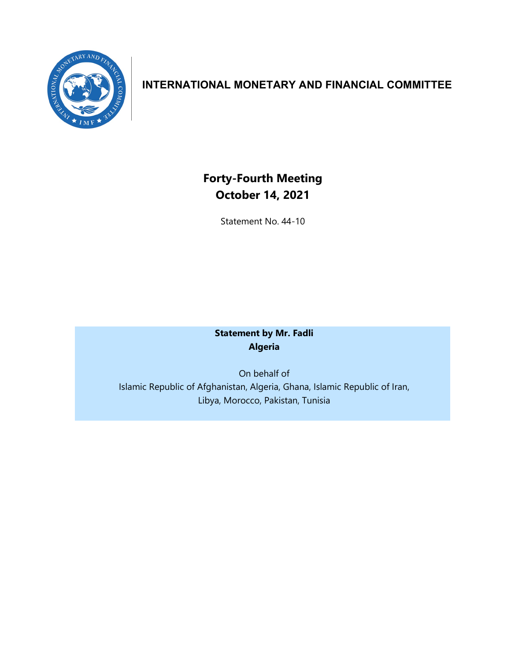

## **INTERNATIONAL MONETARY AND FINANCIAL COMMITTEE**

**Forty-Fourth Meeting October 14, 2021**

Statement No. 44-10

## **Statement by Mr. Fadli Algeria**

On behalf of Islamic Republic of Afghanistan, Algeria, Ghana, Islamic Republic of Iran, Libya, Morocco, Pakistan, Tunisia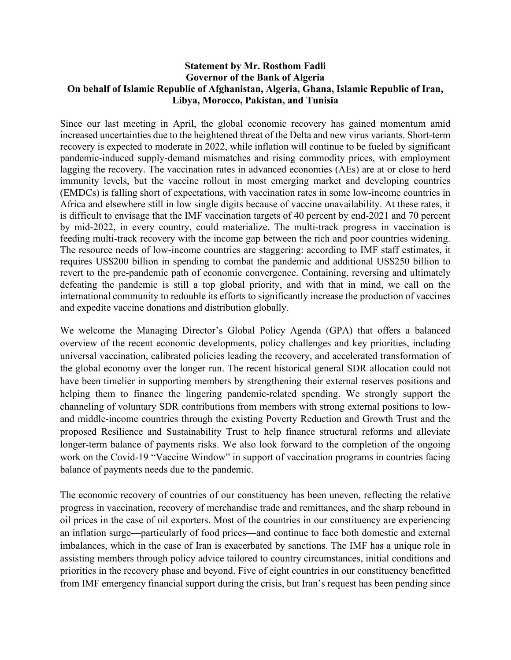## **Statement by Mr. Rosthom Fadli Governor of the Bank of Algeria On behalf of Islamic Republic of Afghanistan, Algeria, Ghana, Islamic Republic of Iran, Libya, Morocco, Pakistan, and Tunisia**

Since our last meeting in April, the global economic recovery has gained momentum amid increased uncertainties due to the heightened threat of the Delta and new virus variants. Short-term recovery is expected to moderate in 2022, while inflation will continue to be fueled by significant pandemic-induced supply-demand mismatches and rising commodity prices, with employment lagging the recovery. The vaccination rates in advanced economies (AEs) are at or close to herd immunity levels, but the vaccine rollout in most emerging market and developing countries (EMDCs) is falling short of expectations, with vaccination rates in some low-income countries in Africa and elsewhere still in low single digits because of vaccine unavailability. At these rates, it is difficult to envisage that the IMF vaccination targets of 40 percent by end-2021 and 70 percent by mid-2022, in every country, could materialize. The multi-track progress in vaccination is feeding multi-track recovery with the income gap between the rich and poor countries widening. The resource needs of low-income countries are staggering: according to IMF staff estimates, it requires US\$200 billion in spending to combat the pandemic and additional US\$250 billion to revert to the pre-pandemic path of economic convergence. Containing, reversing and ultimately defeating the pandemic is still a top global priority, and with that in mind, we call on the international community to redouble its efforts to significantly increase the production of vaccines and expedite vaccine donations and distribution globally.

We welcome the Managing Director's Global Policy Agenda (GPA) that offers a balanced overview of the recent economic developments, policy challenges and key priorities, including universal vaccination, calibrated policies leading the recovery, and accelerated transformation of the global economy over the longer run. The recent historical general SDR allocation could not have been timelier in supporting members by strengthening their external reserves positions and helping them to finance the lingering pandemic-related spending. We strongly support the channeling of voluntary SDR contributions from members with strong external positions to lowand middle-income countries through the existing Poverty Reduction and Growth Trust and the proposed Resilience and Sustainability Trust to help finance structural reforms and alleviate longer-term balance of payments risks. We also look forward to the completion of the ongoing work on the Covid-19 "Vaccine Window" in support of vaccination programs in countries facing balance of payments needs due to the pandemic.

The economic recovery of countries of our constituency has been uneven, reflecting the relative progress in vaccination, recovery of merchandise trade and remittances, and the sharp rebound in oil prices in the case of oil exporters. Most of the countries in our constituency are experiencing an inflation surge—particularly of food prices—and continue to face both domestic and external imbalances, which in the case of Iran is exacerbated by sanctions. The IMF has a unique role in assisting members through policy advice tailored to country circumstances, initial conditions and priorities in the recovery phase and beyond. Five of eight countries in our constituency benefitted from IMF emergency financial support during the crisis, but Iran's request has been pending since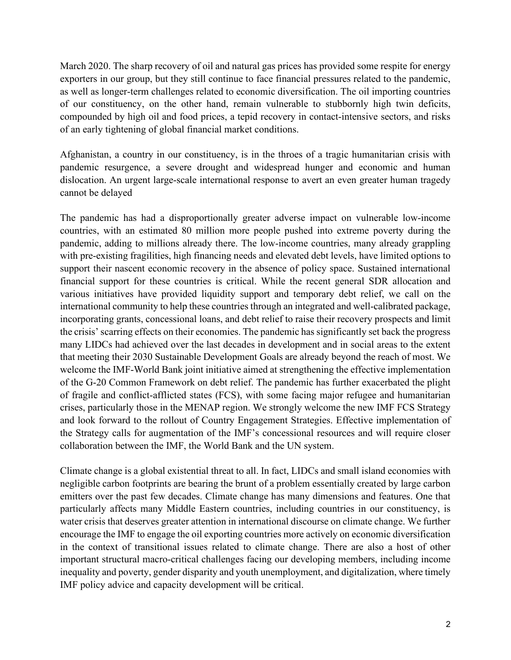March 2020. The sharp recovery of oil and natural gas prices has provided some respite for energy exporters in our group, but they still continue to face financial pressures related to the pandemic, as well as longer-term challenges related to economic diversification. The oil importing countries of our constituency, on the other hand, remain vulnerable to stubbornly high twin deficits, compounded by high oil and food prices, a tepid recovery in contact-intensive sectors, and risks of an early tightening of global financial market conditions.

Afghanistan, a country in our constituency, is in the throes of a tragic humanitarian crisis with pandemic resurgence, a severe drought and widespread hunger and economic and human dislocation. An urgent large-scale international response to avert an even greater human tragedy cannot be delayed

The pandemic has had a disproportionally greater adverse impact on vulnerable low-income countries, with an estimated 80 million more people pushed into extreme poverty during the pandemic, adding to millions already there. The low-income countries, many already grappling with pre-existing fragilities, high financing needs and elevated debt levels, have limited options to support their nascent economic recovery in the absence of policy space. Sustained international financial support for these countries is critical. While the recent general SDR allocation and various initiatives have provided liquidity support and temporary debt relief, we call on the international community to help these countries through an integrated and well-calibrated package, incorporating grants, concessional loans, and debt relief to raise their recovery prospects and limit the crisis' scarring effects on their economies. The pandemic has significantly set back the progress many LIDCs had achieved over the last decades in development and in social areas to the extent that meeting their 2030 Sustainable Development Goals are already beyond the reach of most. We welcome the IMF-World Bank joint initiative aimed at strengthening the effective implementation of the G-20 Common Framework on debt relief. The pandemic has further exacerbated the plight of fragile and conflict-afflicted states (FCS), with some facing major refugee and humanitarian crises, particularly those in the MENAP region. We strongly welcome the new IMF FCS Strategy and look forward to the rollout of Country Engagement Strategies. Effective implementation of the Strategy calls for augmentation of the IMF's concessional resources and will require closer collaboration between the IMF, the World Bank and the UN system.

Climate change is a global existential threat to all. In fact, LIDCs and small island economies with negligible carbon footprints are bearing the brunt of a problem essentially created by large carbon emitters over the past few decades. Climate change has many dimensions and features. One that particularly affects many Middle Eastern countries, including countries in our constituency, is water crisis that deserves greater attention in international discourse on climate change. We further encourage the IMF to engage the oil exporting countries more actively on economic diversification in the context of transitional issues related to climate change. There are also a host of other important structural macro-critical challenges facing our developing members, including income inequality and poverty, gender disparity and youth unemployment, and digitalization, where timely IMF policy advice and capacity development will be critical.